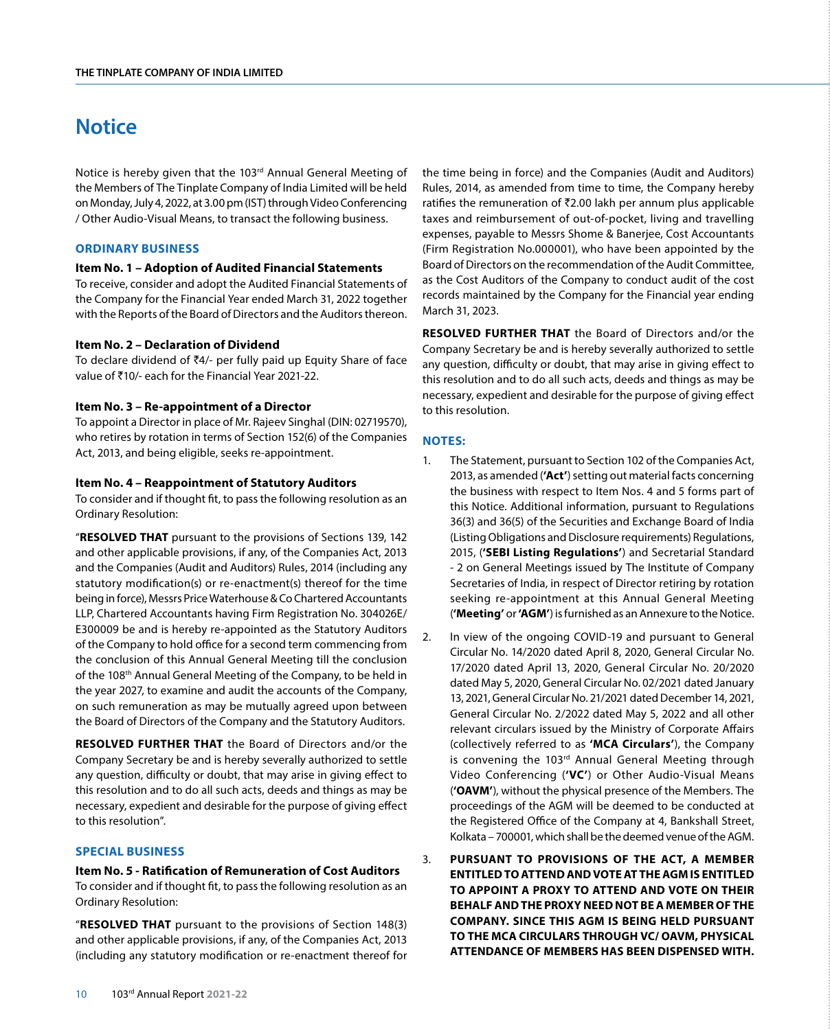# **Notice**

Notice is hereby given that the 103rd Annual General Meeting of the Members of The Tinplate Company of India Limited will be held on Monday, July 4, 2022, at 3.00 pm (IST) through Video Conferencing / Other Audio-Visual Means, to transact the following business.

## **ORDINARY BUSINESS**

#### **Item No. 1 – Adoption of Audited Financial Statements**

To receive, consider and adopt the Audited Financial Statements of the Company for the Financial Year ended March 31, 2022 together with the Reports of the Board of Directors and the Auditors thereon.

#### **Item No. 2 – Declaration of Dividend**

To declare dividend of  $\bar{z}4/2$ - per fully paid up Equity Share of face value of ₹10/- each for the Financial Year 2021-22.

## **Item No. 3 – Re-appointment of a Director**

To appoint a Director in place of Mr. Rajeev Singhal (DIN: 02719570), who retires by rotation in terms of Section 152(6) of the Companies Act, 2013, and being eligible, seeks re-appointment.

#### **Item No. 4 – Reappointment of Statutory Auditors**

To consider and if thought fit, to pass the following resolution as an Ordinary Resolution:

"**RESOLVED THAT** pursuant to the provisions of Sections 139, 142 and other applicable provisions, if any, of the Companies Act, 2013 and the Companies (Audit and Auditors) Rules, 2014 (including any statutory modification(s) or re-enactment(s) thereof for the time being in force), Messrs Price Waterhouse & Co Chartered Accountants LLP, Chartered Accountants having Firm Registration No. 304026E/ E300009 be and is hereby re-appointed as the Statutory Auditors of the Company to hold office for a second term commencing from the conclusion of this Annual General Meeting till the conclusion of the 108<sup>th</sup> Annual General Meeting of the Company, to be held in the year 2027, to examine and audit the accounts of the Company, on such remuneration as may be mutually agreed upon between the Board of Directors of the Company and the Statutory Auditors.

**RESOLVED FURTHER THAT** the Board of Directors and/or the Company Secretary be and is hereby severally authorized to settle any question, difficulty or doubt, that may arise in giving effect to this resolution and to do all such acts, deeds and things as may be necessary, expedient and desirable for the purpose of giving effect to this resolution".

#### **SPECIAL BUSINESS**

**Item No. 5 - Ratification of Remuneration of Cost Auditors** To consider and if thought fit, to pass the following resolution as an Ordinary Resolution:

"**RESOLVED THAT** pursuant to the provisions of Section 148(3) and other applicable provisions, if any, of the Companies Act, 2013 (including any statutory modification or re-enactment thereof for the time being in force) and the Companies (Audit and Auditors) Rules, 2014, as amended from time to time, the Company hereby ratifies the remuneration of  $\bar{z}$ 2.00 lakh per annum plus applicable taxes and reimbursement of out-of-pocket, living and travelling expenses, payable to Messrs Shome & Banerjee, Cost Accountants (Firm Registration No.000001), who have been appointed by the Board of Directors on the recommendation of the Audit Committee, as the Cost Auditors of the Company to conduct audit of the cost records maintained by the Company for the Financial year ending March 31, 2023.

**RESOLVED FURTHER THAT** the Board of Directors and/or the Company Secretary be and is hereby severally authorized to settle any question, difficulty or doubt, that may arise in giving effect to this resolution and to do all such acts, deeds and things as may be necessary, expedient and desirable for the purpose of giving effect to this resolution.

## **NOTES:**

- 1. The Statement, pursuant to Section 102 of the Companies Act, 2013, as amended (**'Act'**) setting out material facts concerning the business with respect to Item Nos. 4 and 5 forms part of this Notice. Additional information, pursuant to Regulations 36(3) and 36(5) of the Securities and Exchange Board of India (Listing Obligations and Disclosure requirements) Regulations, 2015, (**'SEBI Listing Regulations'**) and Secretarial Standard - 2 on General Meetings issued by The Institute of Company Secretaries of India, in respect of Director retiring by rotation seeking re-appointment at this Annual General Meeting (**'Meeting'** or **'AGM'**) is furnished as an Annexure to the Notice.
- 2. In view of the ongoing COVID-19 and pursuant to General Circular No. 14/2020 dated April 8, 2020, General Circular No. 17/2020 dated April 13, 2020, General Circular No. 20/2020 dated May 5, 2020, General Circular No. 02/2021 dated January 13, 2021, General Circular No. 21/2021 dated December 14, 2021, General Circular No. 2/2022 dated May 5, 2022 and all other relevant circulars issued by the Ministry of Corporate Affairs (collectively referred to as **'MCA Circulars'**), the Company is convening the 103rd Annual General Meeting through Video Conferencing (**'VC'**) or Other Audio-Visual Means (**'OAVM'**), without the physical presence of the Members. The proceedings of the AGM will be deemed to be conducted at the Registered Office of the Company at 4, Bankshall Street, Kolkata – 700001, which shall be the deemed venue of the AGM.
- 3. **PURSUANT TO PROVISIONS OF THE ACT, A MEMBER ENTITLED TO ATTEND AND VOTE AT THE AGM IS ENTITLED TO APPOINT A PROXY TO ATTEND AND VOTE ON THEIR BEHALF AND THE PROXY NEED NOT BE A MEMBER OF THE COMPANY. SINCE THIS AGM IS BEING HELD PURSUANT TO THE MCA CIRCULARS THROUGH VC/ OAVM, PHYSICAL ATTENDANCE OF MEMBERS HAS BEEN DISPENSED WITH.**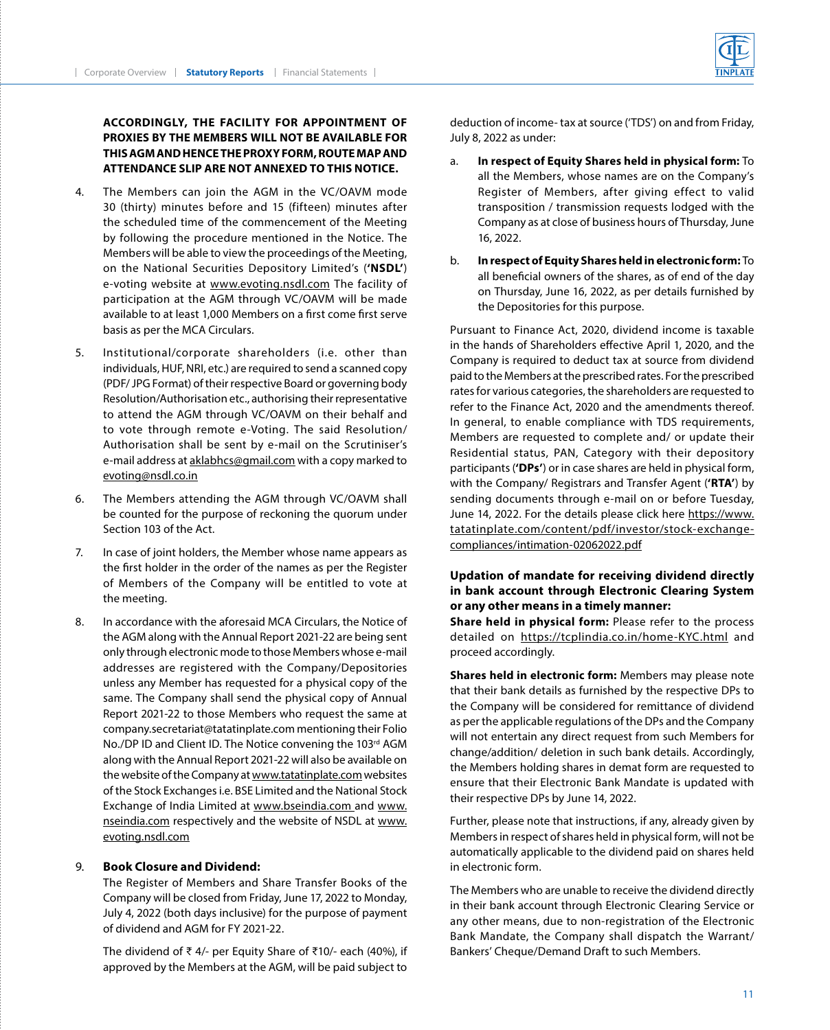## **ACCORDINGLY, THE FACILITY FOR APPOINTMENT OF PROXIES BY THE MEMBERS WILL NOT BE AVAILABLE FOR THIS AGM AND HENCE THE PROXY FORM, ROUTE MAP AND ATTENDANCE SLIP ARE NOT ANNEXED TO THIS NOTICE.**

- 4. The Members can join the AGM in the VC/OAVM mode 30 (thirty) minutes before and 15 (fifteen) minutes after the scheduled time of the commencement of the Meeting by following the procedure mentioned in the Notice. The Members will be able to view the proceedings of the Meeting, on the National Securities Depository Limited's (**'NSDL'**) e-voting website at www.evoting.nsdl.com The facility of participation at the AGM through VC/OAVM will be made available to at least 1,000 Members on a first come first serve basis as per the MCA Circulars.
- 5. Institutional/corporate shareholders (i.e. other than individuals, HUF, NRI, etc.) are required to send a scanned copy (PDF/ JPG Format) of their respective Board or governing body Resolution/Authorisation etc., authorising their representative to attend the AGM through VC/OAVM on their behalf and to vote through remote e-Voting. The said Resolution/ Authorisation shall be sent by e-mail on the Scrutiniser's e-mail address at aklabhcs@gmail.com with a copy marked to evoting@nsdl.co.in
- 6. The Members attending the AGM through VC/OAVM shall be counted for the purpose of reckoning the quorum under Section 103 of the Act.
- 7. In case of joint holders, the Member whose name appears as the first holder in the order of the names as per the Register of Members of the Company will be entitled to vote at the meeting.
- 8. In accordance with the aforesaid MCA Circulars, the Notice of the AGM along with the Annual Report 2021-22 are being sent only through electronic mode to those Members whose e-mail addresses are registered with the Company/Depositories unless any Member has requested for a physical copy of the same. The Company shall send the physical copy of Annual Report 2021-22 to those Members who request the same at company.secretariat@tatatinplate.com mentioning their Folio No./DP ID and Client ID. The Notice convening the 103rd AGM along with the Annual Report 2021-22 will also be available on the website of the Company at [www.tatatinplate.com](http://www.tatatinplate.com) websites of the Stock Exchanges i.e. BSE Limited and the National Stock Exchange of India Limited at [www.bseindia.com](http://www.bseindia.com) and www. nseindia.com respectively and the website of NSDL at www. evoting.nsdl.com

## 9. **Book Closure and Dividend:**

 The Register of Members and Share Transfer Books of the Company will be closed from Friday, June 17, 2022 to Monday, July 4, 2022 (both days inclusive) for the purpose of payment of dividend and AGM for FY 2021-22.

 The dividend of ₹ 4/- per Equity Share of ₹10/- each (40%), if approved by the Members at the AGM, will be paid subject to deduction of income- tax at source ('TDS') on and from Friday, July 8, 2022 as under:

- a. **In respect of Equity Shares held in physical form:** To all the Members, whose names are on the Company's Register of Members, after giving effect to valid transposition / transmission requests lodged with the Company as at close of business hours of Thursday, June 16, 2022.
- b. **In respect of Equity Shares held in electronic form:** To all beneficial owners of the shares, as of end of the day on Thursday, June 16, 2022, as per details furnished by the Depositories for this purpose.

 Pursuant to Finance Act, 2020, dividend income is taxable in the hands of Shareholders effective April 1, 2020, and the Company is required to deduct tax at source from dividend paid to the Members at the prescribed rates. For the prescribed rates for various categories, the shareholders are requested to refer to the Finance Act, 2020 and the amendments thereof. In general, to enable compliance with TDS requirements, Members are requested to complete and/ or update their Residential status, PAN, Category with their depository participants (**'DPs'**) or in case shares are held in physical form, with the Company/ Registrars and Transfer Agent (**'RTA'**) by sending documents through e-mail on or before Tuesday, June 14, 2022. For the details please click here [https://www.](https://www.tatatinplate.com/content/pdf/investor/stock-exchange-compliances/intimation-02062022.pdf) [tatatinplate.com/content/pdf/investor/stock-exchange](https://www.tatatinplate.com/content/pdf/investor/stock-exchange-compliances/intimation-02062022.pdf)[compliances/intimation-02062022.pdf](https://www.tatatinplate.com/content/pdf/investor/stock-exchange-compliances/intimation-02062022.pdf)

## **Updation of mandate for receiving dividend directly in bank account through Electronic Clearing System or any other means in a timely manner:**

 **Share held in physical form:** Please refer to the process detailed on https://tcplindia.co.in/home-KYC.html and proceed accordingly.

 **Shares held in electronic form:** Members may please note that their bank details as furnished by the respective DPs to the Company will be considered for remittance of dividend as per the applicable regulations of the DPs and the Company will not entertain any direct request from such Members for change/addition/ deletion in such bank details. Accordingly, the Members holding shares in demat form are requested to ensure that their Electronic Bank Mandate is updated with their respective DPs by June 14, 2022.

 Further, please note that instructions, if any, already given by Members in respect of shares held in physical form, will not be automatically applicable to the dividend paid on shares held in electronic form.

 The Members who are unable to receive the dividend directly in their bank account through Electronic Clearing Service or any other means, due to non-registration of the Electronic Bank Mandate, the Company shall dispatch the Warrant/ Bankers' Cheque/Demand Draft to such Members.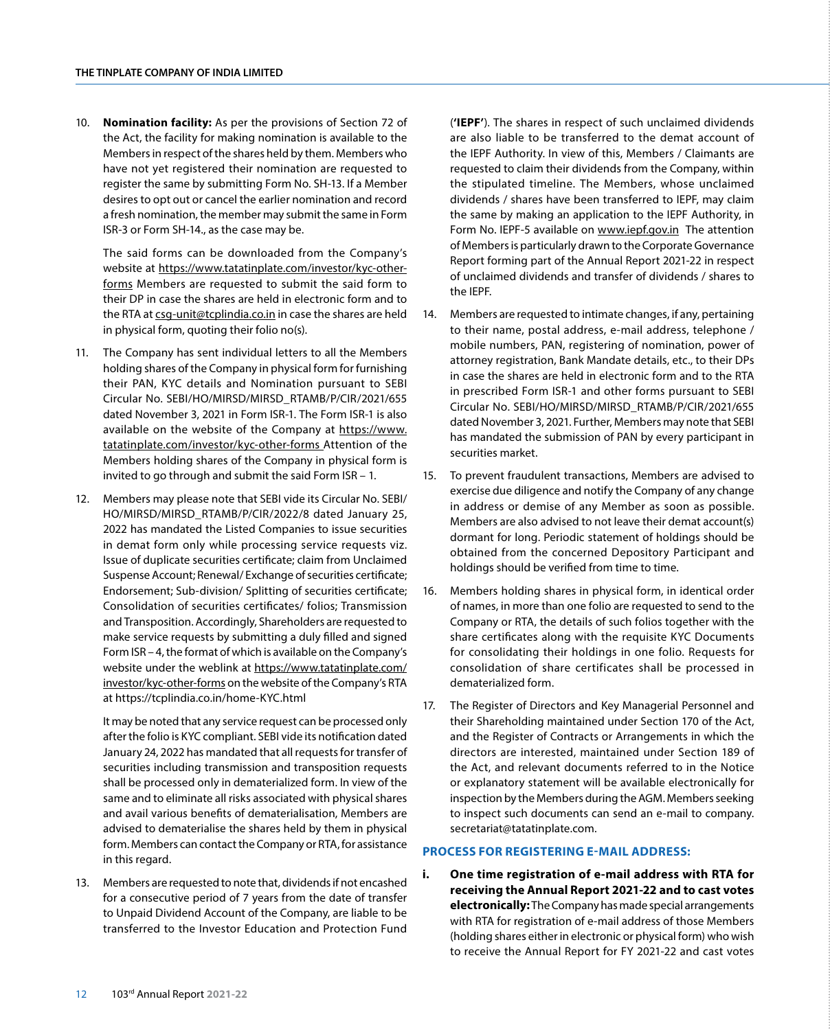10. **Nomination facility:** As per the provisions of Section 72 of the Act, the facility for making nomination is available to the Members in respect of the shares held by them. Members who have not yet registered their nomination are requested to register the same by submitting Form No. SH-13. If a Member desires to opt out or cancel the earlier nomination and record a fresh nomination, the member may submit the same in Form ISR-3 or Form SH-14., as the case may be.

 The said forms can be downloaded from the Company's website at https://www.tatatinplate.com/investor/kyc-otherforms Members are requested to submit the said form to their DP in case the shares are held in electronic form and to the RTA at csg-unit@tcplindia.co.in in case the shares are held in physical form, quoting their folio no(s).

- 11. The Company has sent individual letters to all the Members holding shares of the Company in physical form for furnishing their PAN, KYC details and Nomination pursuant to SEBI Circular No. SEBI/HO/MIRSD/MIRSD\_RTAMB/P/CIR/2021/655 dated November 3, 2021 in Form ISR-1. The Form ISR-1 is also available on the website of the Company at [https://www.](https://www.tatatinplate.com/investor/kyc-other-forms) [tatatinplate.com/investor/kyc-other-forms](https://www.tatatinplate.com/investor/kyc-other-forms) Attention of the Members holding shares of the Company in physical form is invited to go through and submit the said Form ISR – 1.
- 12. Members may please note that SEBI vide its Circular No. SEBI/ HO/MIRSD/MIRSD\_RTAMB/P/CIR/2022/8 dated January 25, 2022 has mandated the Listed Companies to issue securities in demat form only while processing service requests viz. Issue of duplicate securities certificate; claim from Unclaimed Suspense Account; Renewal/ Exchange of securities certificate; Endorsement; Sub-division/ Splitting of securities certificate; Consolidation of securities certificates/ folios; Transmission and Transposition. Accordingly, Shareholders are requested to make service requests by submitting a duly filled and signed Form ISR – 4, the format of which is available on the Company's website under the weblink at [https://www.tatatinplate.com/](https://www.tatatinplate.com/investor/kyc-other-forms) [investor/kyc-other-forms](https://www.tatatinplate.com/investor/kyc-other-forms) on the website of the Company's RTA at https://tcplindia.co.in/home-KYC.html

 It may be noted that any service request can be processed only after the folio is KYC compliant. SEBI vide its notification dated January 24, 2022 has mandated that all requests for transfer of securities including transmission and transposition requests shall be processed only in dematerialized form. In view of the same and to eliminate all risks associated with physical shares and avail various benefits of dematerialisation, Members are advised to dematerialise the shares held by them in physical form. Members can contact the Company or RTA, for assistance in this regard.

13. Members are requested to note that, dividends if not encashed for a consecutive period of 7 years from the date of transfer to Unpaid Dividend Account of the Company, are liable to be transferred to the Investor Education and Protection Fund

(**'IEPF'**). The shares in respect of such unclaimed dividends are also liable to be transferred to the demat account of the IEPF Authority. In view of this, Members / Claimants are requested to claim their dividends from the Company, within the stipulated timeline. The Members, whose unclaimed dividends / shares have been transferred to IEPF, may claim the same by making an application to the IEPF Authority, in Form No. IEPF-5 available on www.iepf.gov.in The attention of Members is particularly drawn to the Corporate Governance Report forming part of the Annual Report 2021-22 in respect of unclaimed dividends and transfer of dividends / shares to the IEPF.

- 14. Members are requested to intimate changes, if any, pertaining to their name, postal address, e-mail address, telephone / mobile numbers, PAN, registering of nomination, power of attorney registration, Bank Mandate details, etc., to their DPs in case the shares are held in electronic form and to the RTA in prescribed Form ISR-1 and other forms pursuant to SEBI Circular No. SEBI/HO/MIRSD/MIRSD\_RTAMB/P/CIR/2021/655 dated November 3, 2021. Further, Members may note that SEBI has mandated the submission of PAN by every participant in securities market.
- 15. To prevent fraudulent transactions, Members are advised to exercise due diligence and notify the Company of any change in address or demise of any Member as soon as possible. Members are also advised to not leave their demat account(s) dormant for long. Periodic statement of holdings should be obtained from the concerned Depository Participant and holdings should be verified from time to time.
- 16. Members holding shares in physical form, in identical order of names, in more than one folio are requested to send to the Company or RTA, the details of such folios together with the share certificates along with the requisite KYC Documents for consolidating their holdings in one folio. Requests for consolidation of share certificates shall be processed in dematerialized form.
- 17. The Register of Directors and Key Managerial Personnel and their Shareholding maintained under Section 170 of the Act, and the Register of Contracts or Arrangements in which the directors are interested, maintained under Section 189 of the Act, and relevant documents referred to in the Notice or explanatory statement will be available electronically for inspection by the Members during the AGM. Members seeking to inspect such documents can send an e-mail to company. secretariat@tatatinplate.com.

## **PROCESS FOR REGISTERING E-MAIL ADDRESS:**

**i. One time registration of e-mail address with RTA for receiving the Annual Report 2021-22 and to cast votes electronically:** The Company has made special arrangements with RTA for registration of e-mail address of those Members (holding shares either in electronic or physical form) who wish to receive the Annual Report for FY 2021-22 and cast votes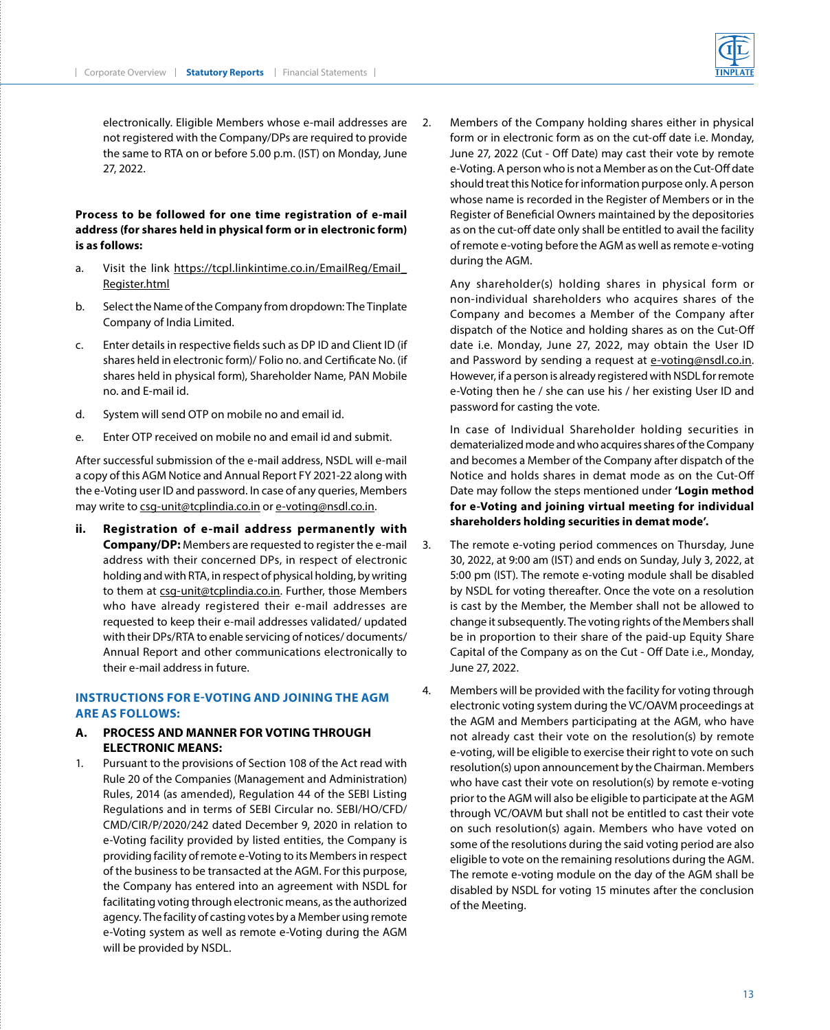electronically. Eligible Members whose e-mail addresses are not registered with the Company/DPs are required to provide the same to RTA on or before 5.00 p.m. (IST) on Monday, June 27, 2022.

## **Process to be followed for one time registration of e-mail address (for shares held in physical form or in electronic form) is as follows:**

- a. Visit the link https://tcpl.linkintime.co.in/EmailReg/Email [Register.html](https://tcpl.linkintime.co.in/EmailReg/Email_Register.html)
- b. Select the Name of the Company from dropdown: The Tinplate Company of India Limited.
- c. Enter details in respective fields such as DP ID and Client ID (if shares held in electronic form)/ Folio no. and Certificate No. (if shares held in physical form), Shareholder Name, PAN Mobile no. and E-mail id.
- d. System will send OTP on mobile no and email id.
- e. Enter OTP received on mobile no and email id and submit.

After successful submission of the e-mail address, NSDL will e-mail a copy of this AGM Notice and Annual Report FY 2021-22 along with the e-Voting user ID and password. In case of any queries, Members may write to csg-unit@tcplindia.co.in or e-voting@nsdl.co.in.

**ii. Registration of e-mail address permanently with Company/DP:** Members are requested to register the e-mail address with their concerned DPs, in respect of electronic holding and with RTA, in respect of physical holding, by writing to them at csg-unit@tcplindia.co.in. Further, those Members who have already registered their e-mail addresses are requested to keep their e-mail addresses validated/ updated with their DPs/RTA to enable servicing of notices/ documents/ Annual Report and other communications electronically to their e-mail address in future.

## **INSTRUCTIONS FOR E-VOTING AND JOINING THE AGM ARE AS FOLLOWS:**

## **A. PROCESS AND MANNER FOR VOTING THROUGH ELECTRONIC MEANS:**

1. Pursuant to the provisions of Section 108 of the Act read with Rule 20 of the Companies (Management and Administration) Rules, 2014 (as amended), Regulation 44 of the SEBI Listing Regulations and in terms of SEBI Circular no. SEBI/HO/CFD/ CMD/CIR/P/2020/242 dated December 9, 2020 in relation to e-Voting facility provided by listed entities, the Company is providing facility of remote e-Voting to its Members in respect of the business to be transacted at the AGM. For this purpose, the Company has entered into an agreement with NSDL for facilitating voting through electronic means, as the authorized agency. The facility of casting votes by a Member using remote e-Voting system as well as remote e-Voting during the AGM will be provided by NSDL.

2. Members of the Company holding shares either in physical form or in electronic form as on the cut-off date i.e. Monday, June 27, 2022 (Cut - Off Date) may cast their vote by remote e-Voting. A person who is not a Member as on the Cut-Off date should treat this Notice for information purpose only. A person whose name is recorded in the Register of Members or in the Register of Beneficial Owners maintained by the depositories as on the cut-off date only shall be entitled to avail the facility of remote e-voting before the AGM as well as remote e-voting during the AGM.

 Any shareholder(s) holding shares in physical form or non-individual shareholders who acquires shares of the Company and becomes a Member of the Company after dispatch of the Notice and holding shares as on the Cut-Off date i.e. Monday, June 27, 2022, may obtain the User ID and Password by sending a request at e-voting@nsdl.co.in. However, if a person is already registered with NSDL for remote e-Voting then he / she can use his / her existing User ID and password for casting the vote.

 In case of Individual Shareholder holding securities in dematerialized mode and who acquires shares of the Company and becomes a Member of the Company after dispatch of the Notice and holds shares in demat mode as on the Cut-Off Date may follow the steps mentioned under **'Login method for e-Voting and joining virtual meeting for individual shareholders holding securities in demat mode'.**

- 3. The remote e-voting period commences on Thursday, June 30, 2022, at 9:00 am (IST) and ends on Sunday, July 3, 2022, at 5:00 pm (IST). The remote e-voting module shall be disabled by NSDL for voting thereafter. Once the vote on a resolution is cast by the Member, the Member shall not be allowed to change it subsequently. The voting rights of the Members shall be in proportion to their share of the paid-up Equity Share Capital of the Company as on the Cut - Off Date i.e., Monday, June 27, 2022.
- 4. Members will be provided with the facility for voting through electronic voting system during the VC/OAVM proceedings at the AGM and Members participating at the AGM, who have not already cast their vote on the resolution(s) by remote e-voting, will be eligible to exercise their right to vote on such resolution(s) upon announcement by the Chairman. Members who have cast their vote on resolution(s) by remote e-voting prior to the AGM will also be eligible to participate at the AGM through VC/OAVM but shall not be entitled to cast their vote on such resolution(s) again. Members who have voted on some of the resolutions during the said voting period are also eligible to vote on the remaining resolutions during the AGM. The remote e-voting module on the day of the AGM shall be disabled by NSDL for voting 15 minutes after the conclusion of the Meeting.

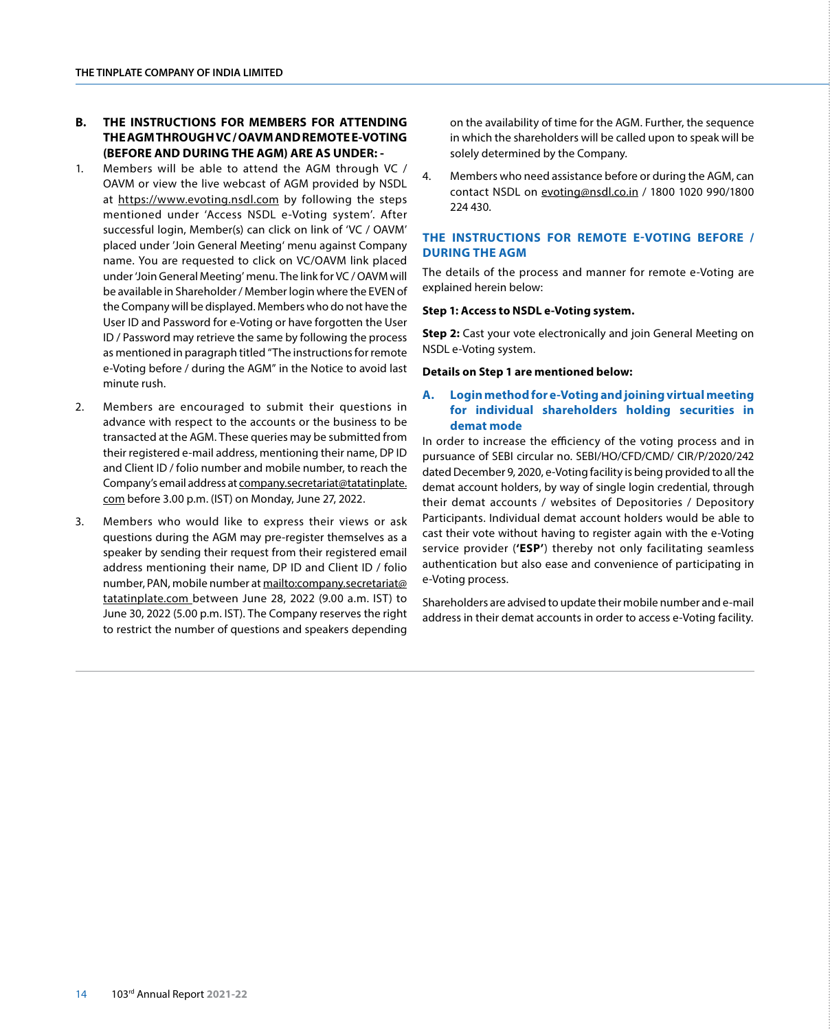## **B. THE INSTRUCTIONS FOR MEMBERS FOR ATTENDING THE AGM THROUGH VC / OAVM AND REMOTE E-VOTING (BEFORE AND DURING THE AGM) ARE AS UNDER: -**

- 1. Members will be able to attend the AGM through VC / OAVM or view the live webcast of AGM provided by NSDL at https://www.evoting.nsdl.com by following the steps mentioned under 'Access NSDL e-Voting system'. After successful login, Member(s) can click on link of 'VC / OAVM' placed under 'Join General Meeting' menu against Company name. You are requested to click on VC/OAVM link placed under 'Join General Meeting' menu. The link for VC / OAVM will be available in Shareholder / Member login where the EVEN of the Company will be displayed. Members who do not have the User ID and Password for e-Voting or have forgotten the User ID / Password may retrieve the same by following the process as mentioned in paragraph titled "The instructions for remote e-Voting before / during the AGM" in the Notice to avoid last minute rush.
- 2. Members are encouraged to submit their questions in advance with respect to the accounts or the business to be transacted at the AGM. These queries may be submitted from their registered e-mail address, mentioning their name, DP ID and Client ID / folio number and mobile number, to reach the Company's email address at company.secretariat@tatatinplate. com before 3.00 p.m. (IST) on Monday, June 27, 2022.
- 3. Members who would like to express their views or ask questions during the AGM may pre-register themselves as a speaker by sending their request from their registered email address mentioning their name, DP ID and Client ID / folio number, PAN, mobile number at [mailto:company.secretariat@](mailto:company.secretariat%40tatatinplate.com?subject=) [tatatinplate.com](mailto:company.secretariat%40tatatinplate.com?subject=) between June 28, 2022 (9.00 a.m. IST) to June 30, 2022 (5.00 p.m. IST). The Company reserves the right to restrict the number of questions and speakers depending

on the availability of time for the AGM. Further, the sequence in which the shareholders will be called upon to speak will be solely determined by the Company.

4. Members who need assistance before or during the AGM, can contact NSDL on evoting@nsdl.co.in / 1800 1020 990/1800 224 430.

## **THE INSTRUCTIONS FOR REMOTE E-VOTING BEFORE / DURING THE AGM**

The details of the process and manner for remote e-Voting are explained herein below:

#### **Step 1: Access to NSDL e-Voting system.**

**Step 2:** Cast your vote electronically and join General Meeting on NSDL e-Voting system.

#### **Details on Step 1 are mentioned below:**

## **A. Login method for e-Voting and joining virtual meeting for individual shareholders holding securities in demat mode**

In order to increase the efficiency of the voting process and in pursuance of SEBI circular no. SEBI/HO/CFD/CMD/ CIR/P/2020/242 dated December 9, 2020, e-Voting facility is being provided to all the demat account holders, by way of single login credential, through their demat accounts / websites of Depositories / Depository Participants. Individual demat account holders would be able to cast their vote without having to register again with the e-Voting service provider (**'ESP'**) thereby not only facilitating seamless authentication but also ease and convenience of participating in e-Voting process.

Shareholders are advised to update their mobile number and e-mail address in their demat accounts in order to access e-Voting facility.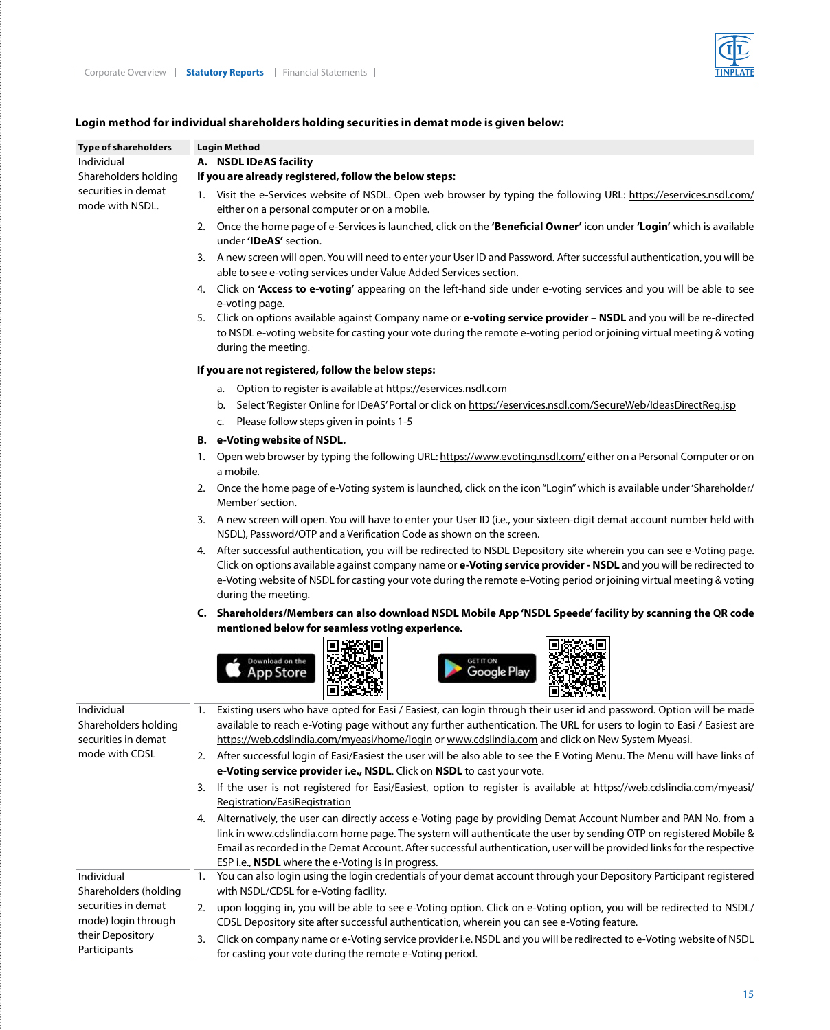

## **Login method for individual shareholders holding securities in demat mode is given below:**

| <b>Type of shareholders</b>                               | <b>Login Method</b>                                                                                                                                                                                                                                                                                                                                                                          |  |  |
|-----------------------------------------------------------|----------------------------------------------------------------------------------------------------------------------------------------------------------------------------------------------------------------------------------------------------------------------------------------------------------------------------------------------------------------------------------------------|--|--|
| Individual                                                | A. NSDL IDeAS facility                                                                                                                                                                                                                                                                                                                                                                       |  |  |
| Shareholders holding                                      | If you are already registered, follow the below steps:                                                                                                                                                                                                                                                                                                                                       |  |  |
| securities in demat<br>mode with NSDL.                    | 1. Visit the e-Services website of NSDL. Open web browser by typing the following URL: https://eservices.nsdl.com/<br>either on a personal computer or on a mobile.                                                                                                                                                                                                                          |  |  |
|                                                           | 2. Once the home page of e-Services is launched, click on the 'Beneficial Owner' icon under 'Login' which is available<br>under 'IDeAS' section.                                                                                                                                                                                                                                             |  |  |
|                                                           | 3. A new screen will open. You will need to enter your User ID and Password. After successful authentication, you will be<br>able to see e-voting services under Value Added Services section.                                                                                                                                                                                               |  |  |
|                                                           | 4. Click on 'Access to e-voting' appearing on the left-hand side under e-voting services and you will be able to see<br>e-voting page.                                                                                                                                                                                                                                                       |  |  |
|                                                           | Click on options available against Company name or e-voting service provider - NSDL and you will be re-directed<br>5.<br>to NSDL e-voting website for casting your vote during the remote e-voting period or joining virtual meeting & voting<br>during the meeting.                                                                                                                         |  |  |
|                                                           | If you are not registered, follow the below steps:                                                                                                                                                                                                                                                                                                                                           |  |  |
|                                                           | Option to register is available at https://eservices.nsdl.com<br>a.                                                                                                                                                                                                                                                                                                                          |  |  |
|                                                           | Select 'Register Online for IDeAS' Portal or click on https://eservices.nsdl.com/SecureWeb/IdeasDirectReg.jsp<br>b.<br>Please follow steps given in points 1-5<br>c.                                                                                                                                                                                                                         |  |  |
|                                                           | B. e-Voting website of NSDL.                                                                                                                                                                                                                                                                                                                                                                 |  |  |
|                                                           | Open web browser by typing the following URL: https://www.evoting.nsdl.com/ either on a Personal Computer or on<br>1.<br>a mobile.                                                                                                                                                                                                                                                           |  |  |
|                                                           | 2. Once the home page of e-Voting system is launched, click on the icon "Login" which is available under 'Shareholder/<br>Member' section.                                                                                                                                                                                                                                                   |  |  |
|                                                           | 3. A new screen will open. You will have to enter your User ID (i.e., your sixteen-digit demat account number held with<br>NSDL), Password/OTP and a Verification Code as shown on the screen.                                                                                                                                                                                               |  |  |
|                                                           | After successful authentication, you will be redirected to NSDL Depository site wherein you can see e-Voting page.<br>4.<br>Click on options available against company name or e-Voting service provider - NSDL and you will be redirected to<br>e-Voting website of NSDL for casting your vote during the remote e-Voting period or joining virtual meeting & voting<br>during the meeting. |  |  |
|                                                           | C. Shareholders/Members can also download NSDL Mobile App 'NSDL Speede' facility by scanning the QR code                                                                                                                                                                                                                                                                                     |  |  |
|                                                           | mentioned below for seamless voting experience.                                                                                                                                                                                                                                                                                                                                              |  |  |
|                                                           | Download on the<br><b>GET IT ON</b><br><b>Google Play</b><br><b>App Store</b>                                                                                                                                                                                                                                                                                                                |  |  |
| Individual<br>Shareholders holding<br>securities in demat | Existing users who have opted for Easi / Easiest, can login through their user id and password. Option will be made<br>1.<br>available to reach e-Voting page without any further authentication. The URL for users to login to Easi / Easiest are<br>https://web.cdslindia.com/myeasi/home/login or www.cdslindia.com and click on New System Myeasi.                                       |  |  |
| mode with CDSL                                            | 2. After successful login of Easi/Easiest the user will be also able to see the E Voting Menu. The Menu will have links of<br>e-Voting service provider i.e., NSDL. Click on NSDL to cast your vote.                                                                                                                                                                                         |  |  |
|                                                           | If the user is not registered for Easi/Easiest, option to register is available at https://web.cdslindia.com/myeasi/<br>3.<br>Registration/EasiRegistration                                                                                                                                                                                                                                  |  |  |
|                                                           | Alternatively, the user can directly access e-Voting page by providing Demat Account Number and PAN No. from a<br>4.                                                                                                                                                                                                                                                                         |  |  |
|                                                           | link in www.cdslindia.com home page. The system will authenticate the user by sending OTP on registered Mobile &<br>Email as recorded in the Demat Account. After successful authentication, user will be provided links for the respective<br>ESP i.e., <b>NSDL</b> where the e-Voting is in progress.                                                                                      |  |  |
| Individual<br>Shareholders (holding                       | You can also login using the login credentials of your demat account through your Depository Participant registered<br>1.<br>with NSDL/CDSL for e-Voting facility.                                                                                                                                                                                                                           |  |  |
| securities in demat<br>mode) login through                | 2.<br>upon logging in, you will be able to see e-Voting option. Click on e-Voting option, you will be redirected to NSDL/<br>CDSL Depository site after successful authentication, wherein you can see e-Voting feature.                                                                                                                                                                     |  |  |
| their Depository<br>Participants                          | Click on company name or e-Voting service provider i.e. NSDL and you will be redirected to e-Voting website of NSDL<br>3.<br>for casting your vote during the remote e-Voting period.                                                                                                                                                                                                        |  |  |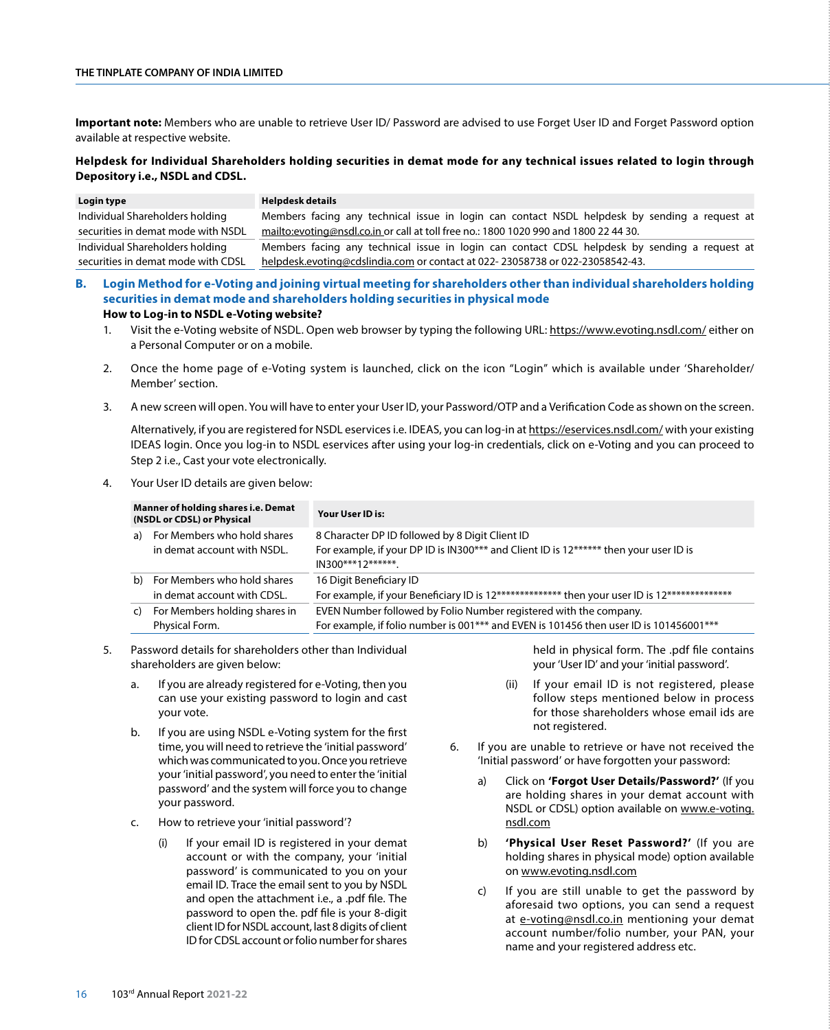## **THE TINPLATE COMPANY OF INDIA LIMITED**

**Important note:** Members who are unable to retrieve User ID/ Password are advised to use Forget User ID and Forget Password option available at respective website.

## **Helpdesk for Individual Shareholders holding securities in demat mode for any technical issues related to login through Depository i.e., NSDL and CDSL.**

| Login type                         | Helpdesk details                                                                              |
|------------------------------------|-----------------------------------------------------------------------------------------------|
| Individual Shareholders holding    | Members facing any technical issue in login can contact NSDL helpdesk by sending a request at |
| securities in demat mode with NSDL | mailto:evoting@nsdl.co.in or call at toll free no.: 1800 1020 990 and 1800 22 44 30.          |
| Individual Shareholders holding    | Members facing any technical issue in login can contact CDSL helpdesk by sending a request at |
| securities in demat mode with CDSL | helpdesk.evoting@cdslindia.com or contact at 022-23058738 or 022-23058542-43.                 |

- **B. Login Method for e-Voting and joining virtual meeting for shareholders other than individual shareholders holding securities in demat mode and shareholders holding securities in physical mode How to Log-in to NSDL e-Voting website?**
	- 1. Visit the e-Voting website of NSDL. Open web browser by typing the following URL: https://www.evoting.nsdl.com/ either on a Personal Computer or on a mobile.
	- 2. Once the home page of e-Voting system is launched, click on the icon "Login" which is available under 'Shareholder/ Member' section.
	- 3. A new screen will open. You will have to enter your User ID, your Password/OTP and a Verification Code as shown on the screen.

Alternatively, if you are registered for NSDL eservices i.e. IDEAS, you can log-in at https://eservices.nsdl.com/ with your existing IDEAS login. Once you log-in to NSDL eservices after using your log-in credentials, click on e-Voting and you can proceed to Step 2 i.e., Cast your vote electronically.

4. Your User ID details are given below:

| Manner of holding shares i.e. Demat<br>(NSDL or CDSL) or Physical |                                                            | Your User ID is:                                                                                                                                               |
|-------------------------------------------------------------------|------------------------------------------------------------|----------------------------------------------------------------------------------------------------------------------------------------------------------------|
| a)                                                                | For Members who hold shares<br>in demat account with NSDL. | 8 Character DP ID followed by 8 Digit Client ID<br>For example, if your DP ID is IN300*** and Client ID is 12****** then your user ID is<br>IN300***12*******. |
| b)                                                                | For Members who hold shares<br>in demat account with CDSL. | 16 Digit Beneficiary ID<br>For example, if your Beneficiary ID is 12************** then your user ID is 12**************                                       |
| C)                                                                | For Members holding shares in<br>Physical Form.            | EVEN Number followed by Folio Number registered with the company.<br>For example, if folio number is 001*** and EVEN is 101456 then user ID is 101456001***    |

- 5. Password details for shareholders other than Individual shareholders are given below:
	- a. If you are already registered for e-Voting, then you can use your existing password to login and cast your vote.
	- b. If you are using NSDL e-Voting system for the first time, you will need to retrieve the 'initial password' which was communicated to you. Once you retrieve your 'initial password', you need to enter the 'initial password' and the system will force you to change your password.
	- c. How to retrieve your 'initial password'?
		- If your email ID is registered in your demat account or with the company, your 'initial password' is communicated to you on your email ID. Trace the email sent to you by NSDL and open the attachment i.e., a .pdf file. The password to open the. pdf file is your 8-digit client ID for NSDL account, last 8 digits of client ID for CDSL account or folio number for shares

held in physical form. The .pdf file contains your 'User ID' and your 'initial password'.

- (ii) If your email ID is not registered, please follow steps mentioned below in process for those shareholders whose email ids are not registered.
- 6. If you are unable to retrieve or have not received the 'Initial password' or have forgotten your password:
	- a) Click on **'Forgot User Details/Password?'** (If you are holding shares in your demat account with NSDL or CDSL) option available on www.e-voting. nsdl.com
	- b) **'Physical User Reset Password?'** (If you are holding shares in physical mode) option available on www.evoting.nsdl.com
	- c) If you are still unable to get the password by aforesaid two options, you can send a request at e-voting@nsdl.co.in mentioning your demat account number/folio number, your PAN, your name and your registered address etc.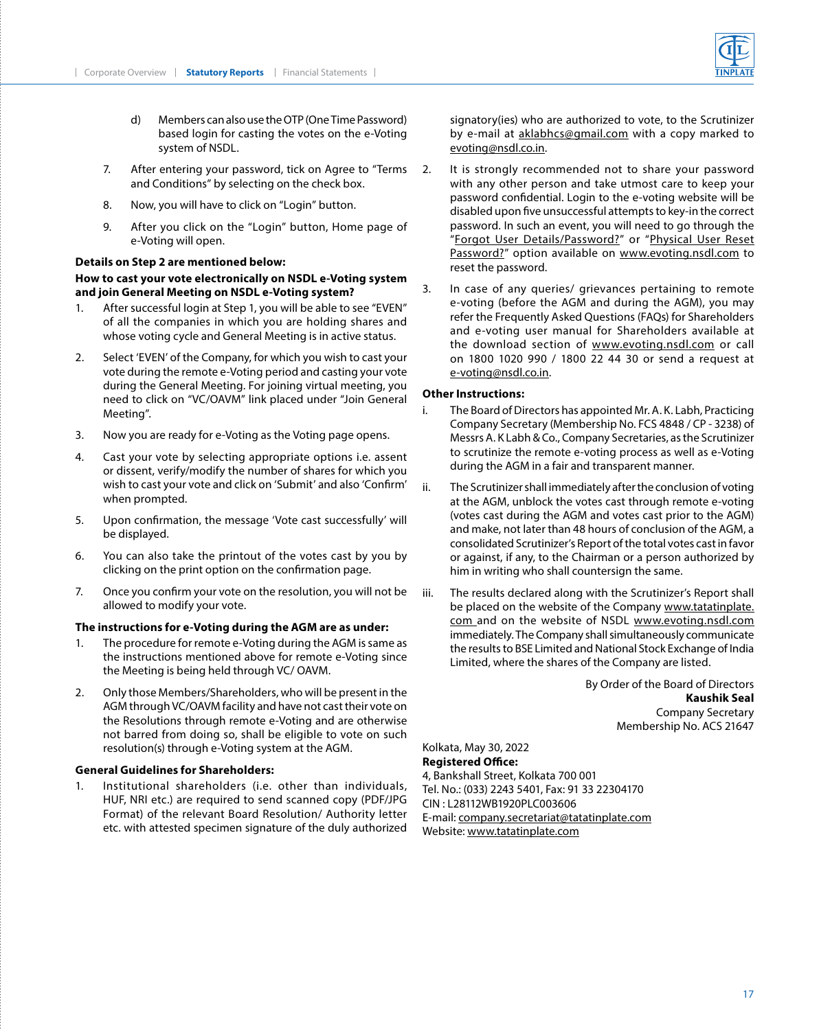

- d) Members can also use the OTP (One Time Password) based login for casting the votes on the e-Voting system of NSDL.
- 7. After entering your password, tick on Agree to "Terms and Conditions" by selecting on the check box.
- 8. Now, you will have to click on "Login" button.
- 9. After you click on the "Login" button, Home page of e-Voting will open.

#### **Details on Step 2 are mentioned below:**

## **How to cast your vote electronically on NSDL e-Voting system and join General Meeting on NSDL e-Voting system?**

- 1. After successful login at Step 1, you will be able to see "EVEN" of all the companies in which you are holding shares and whose voting cycle and General Meeting is in active status.
- 2. Select 'EVEN' of the Company, for which you wish to cast your vote during the remote e-Voting period and casting your vote during the General Meeting. For joining virtual meeting, you need to click on "VC/OAVM" link placed under "Join General Meeting".
- 3. Now you are ready for e-Voting as the Voting page opens.
- 4. Cast your vote by selecting appropriate options i.e. assent or dissent, verify/modify the number of shares for which you wish to cast your vote and click on 'Submit' and also 'Confirm' when prompted.
- 5. Upon confirmation, the message 'Vote cast successfully' will be displayed.
- 6. You can also take the printout of the votes cast by you by clicking on the print option on the confirmation page.
- 7. Once you confirm your vote on the resolution, you will not be allowed to modify your vote.

#### **The instructions for e-Voting during the AGM are as under:**

- 1. The procedure for remote e-Voting during the AGM is same as the instructions mentioned above for remote e-Voting since the Meeting is being held through VC/ OAVM.
- 2. Only those Members/Shareholders, who will be present in the AGM through VC/OAVM facility and have not cast their vote on the Resolutions through remote e-Voting and are otherwise not barred from doing so, shall be eligible to vote on such resolution(s) through e-Voting system at the AGM.

#### **General Guidelines for Shareholders:**

1. Institutional shareholders (i.e. other than individuals, HUF, NRI etc.) are required to send scanned copy (PDF/JPG Format) of the relevant Board Resolution/ Authority letter etc. with attested specimen signature of the duly authorized signatory(ies) who are authorized to vote, to the Scrutinizer by e-mail at aklabhcs@gmail.com with a copy marked to evoting@nsdl.co.in.

- 2. It is strongly recommended not to share your password with any other person and take utmost care to keep your password confidential. Login to the e-voting website will be disabled upon five unsuccessful attempts to key-in the correct password. In such an event, you will need to go through the "Forgot User Details/Password?" or "Physical User Reset Password?" option available on www.evoting.nsdl.com to reset the password.
- 3. In case of any queries/ grievances pertaining to remote e-voting (before the AGM and during the AGM), you may refer the Frequently Asked Questions (FAQs) for Shareholders and e-voting user manual for Shareholders available at the download section of www.evoting.nsdl.com or call on 1800 1020 990 / 1800 22 44 30 or send a request at e-voting@nsdl.co.in.

#### **Other Instructions:**

- i. The Board of Directors has appointed Mr. A. K. Labh, Practicing Company Secretary (Membership No. FCS 4848 / CP - 3238) of Messrs A. K Labh & Co., Company Secretaries, as the Scrutinizer to scrutinize the remote e-voting process as well as e-Voting during the AGM in a fair and transparent manner.
- ii. The Scrutinizer shall immediately after the conclusion of voting at the AGM, unblock the votes cast through remote e-voting (votes cast during the AGM and votes cast prior to the AGM) and make, not later than 48 hours of conclusion of the AGM, a consolidated Scrutinizer's Report of the total votes cast in favor or against, if any, to the Chairman or a person authorized by him in writing who shall countersign the same.
- iii. The results declared along with the Scrutinizer's Report shall be placed on the website of the Company [www.tatatinplate.](mailto:www.tatatinplate.com?subject=) [com](mailto:www.tatatinplate.com?subject=) and on the website of NSDL www.evoting.nsdl.com immediately. The Company shall simultaneously communicate the results to BSE Limited and National Stock Exchange of India Limited, where the shares of the Company are listed.

By Order of the Board of Directors **Kaushik Seal** Company Secretary Membership No. ACS 21647

Kolkata, May 30, 2022 **Registered Office:** 4, Bankshall Street, Kolkata 700 001 Tel. No.: (033) 2243 5401, Fax: 91 33 22304170 CIN : L28112WB1920PLC003606 E-mail: company.secretariat@tatatinplate.com Website: www.tatatinplate.com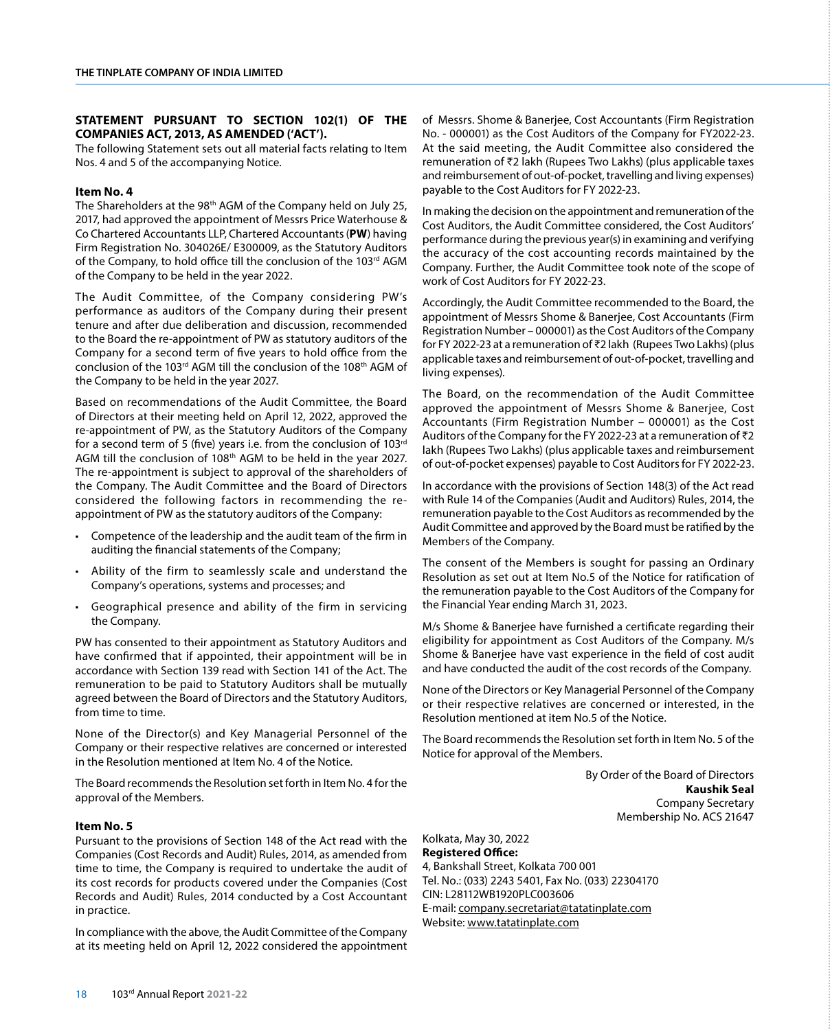## **STATEMENT PURSUANT TO SECTION 102(1) OF THE COMPANIES ACT, 2013, AS AMENDED ('ACT').**

The following Statement sets out all material facts relating to Item Nos. 4 and 5 of the accompanying Notice.

#### **Item No. 4**

The Shareholders at the 98<sup>th</sup> AGM of the Company held on July 25, 2017, had approved the appointment of Messrs Price Waterhouse & Co Chartered Accountants LLP, Chartered Accountants (**PW**) having Firm Registration No. 304026E/ E300009, as the Statutory Auditors of the Company, to hold office till the conclusion of the 103rd AGM of the Company to be held in the year 2022.

The Audit Committee, of the Company considering PW's performance as auditors of the Company during their present tenure and after due deliberation and discussion, recommended to the Board the re-appointment of PW as statutory auditors of the Company for a second term of five years to hold office from the conclusion of the 103rd AGM till the conclusion of the 108th AGM of the Company to be held in the year 2027.

Based on recommendations of the Audit Committee, the Board of Directors at their meeting held on April 12, 2022, approved the re-appointment of PW, as the Statutory Auditors of the Company for a second term of 5 (five) years i.e. from the conclusion of 103rd AGM till the conclusion of 108th AGM to be held in the year 2027. The re-appointment is subject to approval of the shareholders of the Company. The Audit Committee and the Board of Directors considered the following factors in recommending the reappointment of PW as the statutory auditors of the Company:

- Competence of the leadership and the audit team of the firm in auditing the financial statements of the Company;
- Ability of the firm to seamlessly scale and understand the Company's operations, systems and processes; and
- Geographical presence and ability of the firm in servicing the Company.

PW has consented to their appointment as Statutory Auditors and have confirmed that if appointed, their appointment will be in accordance with Section 139 read with Section 141 of the Act. The remuneration to be paid to Statutory Auditors shall be mutually agreed between the Board of Directors and the Statutory Auditors, from time to time.

None of the Director(s) and Key Managerial Personnel of the Company or their respective relatives are concerned or interested in the Resolution mentioned at Item No. 4 of the Notice.

The Board recommends the Resolution set forth in Item No. 4 for the approval of the Members.

#### **Item No. 5**

Pursuant to the provisions of Section 148 of the Act read with the Companies (Cost Records and Audit) Rules, 2014, as amended from time to time, the Company is required to undertake the audit of its cost records for products covered under the Companies (Cost Records and Audit) Rules, 2014 conducted by a Cost Accountant in practice.

In compliance with the above, the Audit Committee of the Company at its meeting held on April 12, 2022 considered the appointment of Messrs. Shome & Banerjee, Cost Accountants (Firm Registration No. - 000001) as the Cost Auditors of the Company for FY2022-23. At the said meeting, the Audit Committee also considered the remuneration of ₹2 lakh (Rupees Two Lakhs) (plus applicable taxes and reimbursement of out-of-pocket, travelling and living expenses) payable to the Cost Auditors for FY 2022-23.

In making the decision on the appointment and remuneration of the Cost Auditors, the Audit Committee considered, the Cost Auditors' performance during the previous year(s) in examining and verifying the accuracy of the cost accounting records maintained by the Company. Further, the Audit Committee took note of the scope of work of Cost Auditors for FY 2022-23.

Accordingly, the Audit Committee recommended to the Board, the appointment of Messrs Shome & Banerjee, Cost Accountants (Firm Registration Number – 000001) as the Cost Auditors of the Company for FY 2022-23 at a remuneration of ₹2 lakh (Rupees Two Lakhs) (plus applicable taxes and reimbursement of out-of-pocket, travelling and living expenses).

The Board, on the recommendation of the Audit Committee approved the appointment of Messrs Shome & Banerjee, Cost Accountants (Firm Registration Number – 000001) as the Cost Auditors of the Company for the FY 2022-23 at a remuneration of ₹2 lakh (Rupees Two Lakhs) (plus applicable taxes and reimbursement of out-of-pocket expenses) payable to Cost Auditors for FY 2022-23.

In accordance with the provisions of Section 148(3) of the Act read with Rule 14 of the Companies (Audit and Auditors) Rules, 2014, the remuneration payable to the Cost Auditors as recommended by the Audit Committee and approved by the Board must be ratified by the Members of the Company.

The consent of the Members is sought for passing an Ordinary Resolution as set out at Item No.5 of the Notice for ratification of the remuneration payable to the Cost Auditors of the Company for the Financial Year ending March 31, 2023.

M/s Shome & Banerjee have furnished a certificate regarding their eligibility for appointment as Cost Auditors of the Company. M/s Shome & Banerjee have vast experience in the field of cost audit and have conducted the audit of the cost records of the Company.

None of the Directors or Key Managerial Personnel of the Company or their respective relatives are concerned or interested, in the Resolution mentioned at item No.5 of the Notice.

The Board recommends the Resolution set forth in Item No. 5 of the Notice for approval of the Members.

> By Order of the Board of Directors **Kaushik Seal** Company Secretary Membership No. ACS 21647

#### Kolkata, May 30, 2022 **Registered Office:**

4, Bankshall Street, Kolkata 700 001 Tel. No.: (033) 2243 5401, Fax No. (033) 22304170 CIN: L28112WB1920PLC003606 E-mail: company.secretariat@tatatinplate.com Website: www.tatatinplate.com